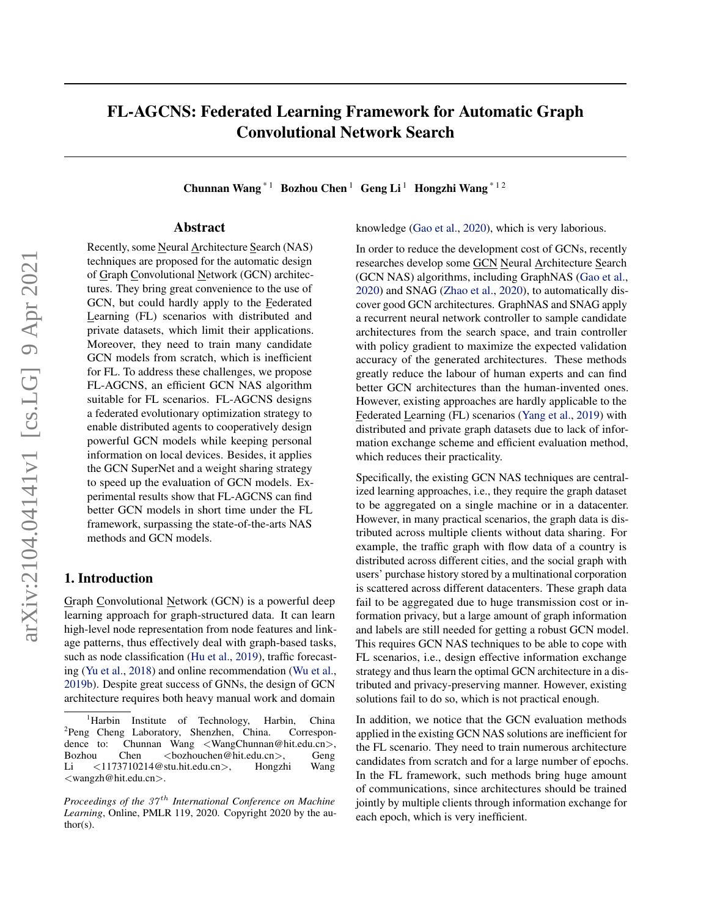# FL-AGCNS: Federated Learning Framework for Automatic Graph Convolutional Network Search

Chunnan Wang<sup>\*1</sup> Bozhou Chen<sup>1</sup> Geng Li<sup>1</sup> Hongzhi Wang<sup>\*12</sup>

# Abstract

Recently, some Neural Architecture Search (NAS) techniques are proposed for the automatic design of Graph Convolutional Network (GCN) architectures. They bring great convenience to the use of GCN, but could hardly apply to the Federated Learning (FL) scenarios with distributed and private datasets, which limit their applications. Moreover, they need to train many candidate GCN models from scratch, which is inefficient for FL. To address these challenges, we propose FL-AGCNS, an efficient GCN NAS algorithm suitable for FL scenarios. FL-AGCNS designs a federated evolutionary optimization strategy to enable distributed agents to cooperatively design powerful GCN models while keeping personal information on local devices. Besides, it applies the GCN SuperNet and a weight sharing strategy to speed up the evaluation of GCN models. Experimental results show that FL-AGCNS can find better GCN models in short time under the FL framework, surpassing the state-of-the-arts NAS methods and GCN models.

# 1. Introduction

Graph Convolutional Network (GCN) is a powerful deep learning approach for graph-structured data. It can learn high-level node representation from node features and linkage patterns, thus effectively deal with graph-based tasks, such as node classification [\(Hu et al.,](#page-8-0) [2019\)](#page-8-0), traffic forecasting [\(Yu et al.,](#page-9-0) [2018\)](#page-9-0) and online recommendation [\(Wu et al.,](#page-8-0) [2019b\)](#page-8-0). Despite great success of GNNs, the design of GCN architecture requires both heavy manual work and domain

knowledge [\(Gao et al.,](#page-8-0) [2020\)](#page-8-0), which is very laborious.

In order to reduce the development cost of GCNs, recently researches develop some GCN Neural Architecture Search (GCN NAS) algorithms, including GraphNAS [\(Gao et al.,](#page-8-0) [2020\)](#page-8-0) and SNAG [\(Zhao et al.,](#page-9-0) [2020\)](#page-9-0), to automatically discover good GCN architectures. GraphNAS and SNAG apply a recurrent neural network controller to sample candidate architectures from the search space, and train controller with policy gradient to maximize the expected validation accuracy of the generated architectures. These methods greatly reduce the labour of human experts and can find better GCN architectures than the human-invented ones. However, existing approaches are hardly applicable to the Federated Learning (FL) scenarios [\(Yang et al.,](#page-9-0) [2019\)](#page-9-0) with distributed and private graph datasets due to lack of information exchange scheme and efficient evaluation method, which reduces their practicality.

Specifically, the existing GCN NAS techniques are centralized learning approaches, i.e., they require the graph dataset to be aggregated on a single machine or in a datacenter. However, in many practical scenarios, the graph data is distributed across multiple clients without data sharing. For example, the traffic graph with flow data of a country is distributed across different cities, and the social graph with users' purchase history stored by a multinational corporation is scattered across different datacenters. These graph data fail to be aggregated due to huge transmission cost or information privacy, but a large amount of graph information and labels are still needed for getting a robust GCN model. This requires GCN NAS techniques to be able to cope with FL scenarios, i.e., design effective information exchange strategy and thus learn the optimal GCN architecture in a distributed and privacy-preserving manner. However, existing solutions fail to do so, which is not practical enough.

In addition, we notice that the GCN evaluation methods applied in the existing GCN NAS solutions are inefficient for the FL scenario. They need to train numerous architecture candidates from scratch and for a large number of epochs. In the FL framework, such methods bring huge amount of communications, since architectures should be trained jointly by multiple clients through information exchange for each epoch, which is very inefficient.

<sup>&</sup>lt;sup>1</sup>Harbin Institute of Technology, Harbin, China <sup>2</sup>Peng Cheng Laboratory, Shenzhen, China. Correspondence to: Chunnan Wang <WangChunnan@hit.edu.cn>, Bozhou Chen <br/> <br/> <br/> <br/> <br/> <br/> <br/> <br/> <br/> <<br/> $\text{Geng}$ Li <1173710214@stu.hit.edu.cn>, Hongzhi Wang <wangzh@hit.edu.cn>.

*Proceedings of the 37<sup>th</sup> International Conference on Machine Learning*, Online, PMLR 119, 2020. Copyright 2020 by the author(s).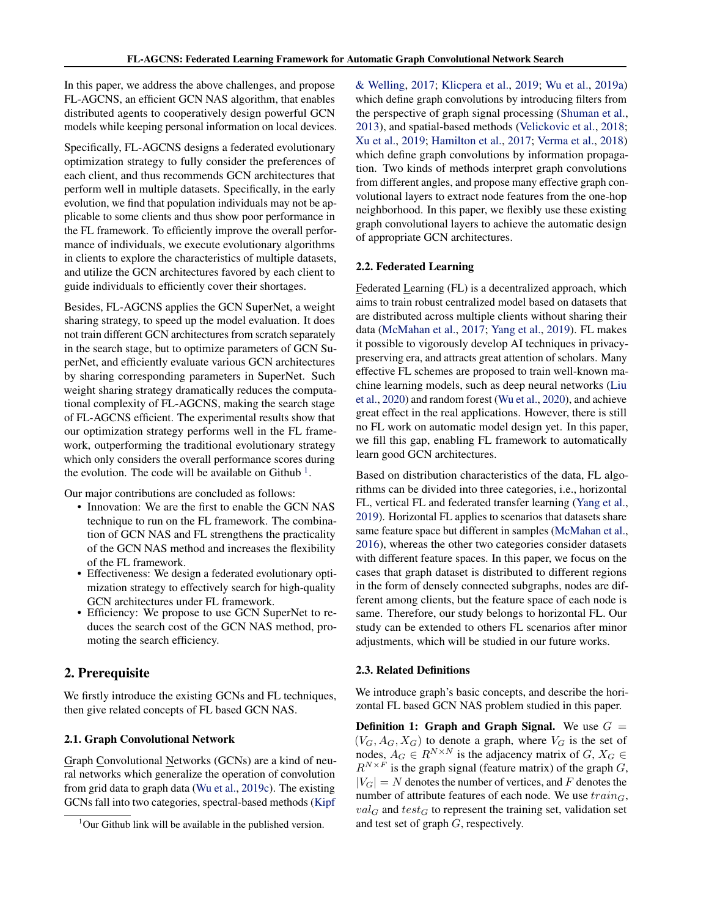In this paper, we address the above challenges, and propose FL-AGCNS, an efficient GCN NAS algorithm, that enables distributed agents to cooperatively design powerful GCN models while keeping personal information on local devices.

Specifically, FL-AGCNS designs a federated evolutionary optimization strategy to fully consider the preferences of each client, and thus recommends GCN architectures that perform well in multiple datasets. Specifically, in the early evolution, we find that population individuals may not be applicable to some clients and thus show poor performance in the FL framework. To efficiently improve the overall performance of individuals, we execute evolutionary algorithms in clients to explore the characteristics of multiple datasets, and utilize the GCN architectures favored by each client to guide individuals to efficiently cover their shortages.

Besides, FL-AGCNS applies the GCN SuperNet, a weight sharing strategy, to speed up the model evaluation. It does not train different GCN architectures from scratch separately in the search stage, but to optimize parameters of GCN SuperNet, and efficiently evaluate various GCN architectures by sharing corresponding parameters in SuperNet. Such weight sharing strategy dramatically reduces the computational complexity of FL-AGCNS, making the search stage of FL-AGCNS efficient. The experimental results show that our optimization strategy performs well in the FL framework, outperforming the traditional evolutionary strategy which only considers the overall performance scores during the evolution. The code will be available on Github<sup>1</sup>.

Our major contributions are concluded as follows:

- Innovation: We are the first to enable the GCN NAS technique to run on the FL framework. The combination of GCN NAS and FL strengthens the practicality of the GCN NAS method and increases the flexibility of the FL framework.
- Effectiveness: We design a federated evolutionary optimization strategy to effectively search for high-quality GCN architectures under FL framework.
- Efficiency: We propose to use GCN SuperNet to reduces the search cost of the GCN NAS method, promoting the search efficiency.

# 2. Prerequisite

We firstly introduce the existing GCNs and FL techniques, then give related concepts of FL based GCN NAS.

## 2.1. Graph Convolutional Network

Graph Convolutional Networks (GCNs) are a kind of neural networks which generalize the operation of convolution from grid data to graph data [\(Wu et al.,](#page-8-0) [2019c\)](#page-8-0). The existing GCNs fall into two categories, spectral-based methods [\(Kipf](#page-8-0)

[& Welling,](#page-8-0) [2017;](#page-8-0) [Klicpera et al.,](#page-8-0) [2019;](#page-8-0) [Wu et al.,](#page-8-0) [2019a\)](#page-8-0) which define graph convolutions by introducing filters from the perspective of graph signal processing [\(Shuman et al.,](#page-8-0) [2013\)](#page-8-0), and spatial-based methods [\(Velickovic et al.,](#page-8-0) [2018;](#page-8-0) [Xu et al.,](#page-9-0) [2019;](#page-9-0) [Hamilton et al.,](#page-8-0) [2017;](#page-8-0) [Verma et al.,](#page-8-0) [2018\)](#page-8-0) which define graph convolutions by information propagation. Two kinds of methods interpret graph convolutions from different angles, and propose many effective graph convolutional layers to extract node features from the one-hop neighborhood. In this paper, we flexibly use these existing graph convolutional layers to achieve the automatic design of appropriate GCN architectures.

## 2.2. Federated Learning

Federated Learning (FL) is a decentralized approach, which aims to train robust centralized model based on datasets that are distributed across multiple clients without sharing their data [\(McMahan et al.,](#page-8-0) [2017;](#page-8-0) [Yang et al.,](#page-9-0) [2019\)](#page-9-0). FL makes it possible to vigorously develop AI techniques in privacypreserving era, and attracts great attention of scholars. Many effective FL schemes are proposed to train well-known machine learning models, such as deep neural networks [\(Liu](#page-8-0) [et al.,](#page-8-0) [2020\)](#page-8-0) and random forest [\(Wu et al.,](#page-8-0) [2020\)](#page-8-0), and achieve great effect in the real applications. However, there is still no FL work on automatic model design yet. In this paper, we fill this gap, enabling FL framework to automatically learn good GCN architectures.

Based on distribution characteristics of the data, FL algorithms can be divided into three categories, i.e., horizontal FL, vertical FL and federated transfer learning [\(Yang et al.,](#page-9-0) [2019\)](#page-9-0). Horizontal FL applies to scenarios that datasets share same feature space but different in samples [\(McMahan et al.,](#page-8-0) [2016\)](#page-8-0), whereas the other two categories consider datasets with different feature spaces. In this paper, we focus on the cases that graph dataset is distributed to different regions in the form of densely connected subgraphs, nodes are different among clients, but the feature space of each node is same. Therefore, our study belongs to horizontal FL. Our study can be extended to others FL scenarios after minor adjustments, which will be studied in our future works.

## 2.3. Related Definitions

We introduce graph's basic concepts, and describe the horizontal FL based GCN NAS problem studied in this paper.

Definition 1: Graph and Graph Signal. We use  $G =$  $(V_G, A_G, X_G)$  to denote a graph, where  $V_G$  is the set of nodes,  $A_G \in R^{N \times N}$  is the adjacency matrix of  $G, X_G \in$  $R^{N\times F}$  is the graph signal (feature matrix) of the graph G,  $|V_G| = N$  denotes the number of vertices, and F denotes the number of attribute features of each node. We use  $train_G$ ,  $val_G$  and  $test_G$  to represent the training set, validation set and test set of graph G, respectively.

 $1$ [Our Github link will be available in the published version.](#page-8-0)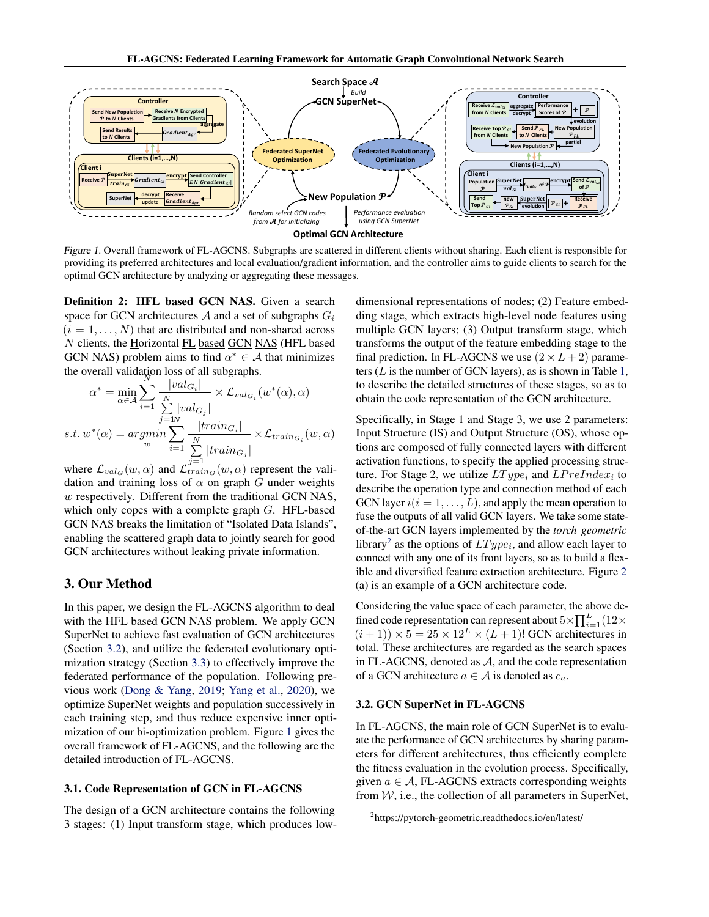<span id="page-2-0"></span>

Figure 1. Overall framework of FL-AGCNS. Subgraphs are scattered in different clients without sharing. Each client is responsible for providing its preferred architectures and local evaluation/gradient information, and the controller aims to guide clients to search for the optimal GCN architecture by analyzing or aggregating these messages.

Definition 2: HFL based GCN NAS. Given a search space for GCN architectures A and a set of subgraphs  $G_i$  $(i = 1, \ldots, N)$  that are distributed and non-shared across N clients, the Horizontal FL based GCN NAS (HFL based GCN NAS) problem aims to find  $\alpha^* \in A$  that minimizes the overall validation loss of all subgraphs.

$$
\alpha^* = \min_{\alpha \in \mathcal{A}} \sum_{i=1}^N \frac{|val_{G_i}|}{\sum_{j=1}^N |val_{G_j}|} \times \mathcal{L}_{val_{G_i}}(w^*(\alpha), \alpha)
$$
  
s.t.  $w^*(\alpha) = argmin_{w} \sum_{i=1}^N \frac{|train_{G_i}|}{\sum_{i=1}^N |train_{G_j}|} \times \mathcal{L}_{train_{G_i}}(w, \alpha)$ 

where  $\mathcal{L}_{val_G}(w, \alpha)$  and  $\mathcal{L}_{train_G}^{j=1}(w, \alpha)$  represent the validation and training loss of  $\alpha$  on graph G under weights w respectively. Different from the traditional GCN NAS, which only copes with a complete graph  $G$ . HFL-based GCN NAS breaks the limitation of "Isolated Data Islands", enabling the scattered graph data to jointly search for good GCN architectures without leaking private information.

# 3. Our Method

In this paper, we design the FL-AGCNS algorithm to deal with the HFL based GCN NAS problem. We apply GCN SuperNet to achieve fast evaluation of GCN architectures (Section 3.2), and utilize the federated evolutionary optimization strategy (Section [3.3\)](#page-4-0) to effectively improve the federated performance of the population. Following previous work [\(Dong & Yang,](#page-8-0) [2019;](#page-8-0) [Yang et al.,](#page-9-0) [2020\)](#page-9-0), we optimize SuperNet weights and population successively in each training step, and thus reduce expensive inner optimization of our bi-optimization problem. Figure 1 gives the overall framework of FL-AGCNS, and the following are the detailed introduction of FL-AGCNS.

## 3.1. Code Representation of GCN in FL-AGCNS

The design of a GCN architecture contains the following 3 stages: (1) Input transform stage, which produces lowdimensional representations of nodes; (2) Feature embedding stage, which extracts high-level node features using multiple GCN layers; (3) Output transform stage, which transforms the output of the feature embedding stage to the final prediction. In FL-AGCNS we use  $(2 \times L + 2)$  parameters ( $L$  is the number of GCN layers), as is shown in Table [1,](#page-3-0) to describe the detailed structures of these stages, so as to obtain the code representation of the GCN architecture.

Specifically, in Stage 1 and Stage 3, we use 2 parameters: Input Structure (IS) and Output Structure (OS), whose options are composed of fully connected layers with different activation functions, to specify the applied processing structure. For Stage 2, we utilize  $LType_i$  and  $LPrefindex_i$  to describe the operation type and connection method of each GCN layer  $i(i = 1, \ldots, L)$ , and apply the mean operation to fuse the outputs of all valid GCN layers. We take some stateof-the-art GCN layers implemented by the *torch geometric* library<sup>2</sup> as the options of  $LType_i$ , and allow each layer to connect with any one of its front layers, so as to build a flexible and diversified feature extraction architecture. Figure [2](#page-3-0) (a) is an example of a GCN architecture code.

Considering the value space of each parameter, the above defined code representation can represent about  $5 \times \prod_{i=1}^{L} (12 \times$  $(i+1)$  × 5 = 25 × 12<sup>L</sup> ×  $(L+1)!$  GCN architectures in total. These architectures are regarded as the search spaces in FL-AGCNS, denoted as  $A$ , and the code representation of a GCN architecture  $a \in A$  is denoted as  $c_a$ .

## 3.2. GCN SuperNet in FL-AGCNS

In FL-AGCNS, the main role of GCN SuperNet is to evaluate the performance of GCN architectures by sharing parameters for different architectures, thus efficiently complete the fitness evaluation in the evolution process. Specifically, given  $a \in \mathcal{A}$ , FL-AGCNS extracts corresponding weights from  $W$ , i.e., the collection of all parameters in SuperNet,

<sup>2</sup> https://pytorch-geometric.readthedocs.io/en/latest/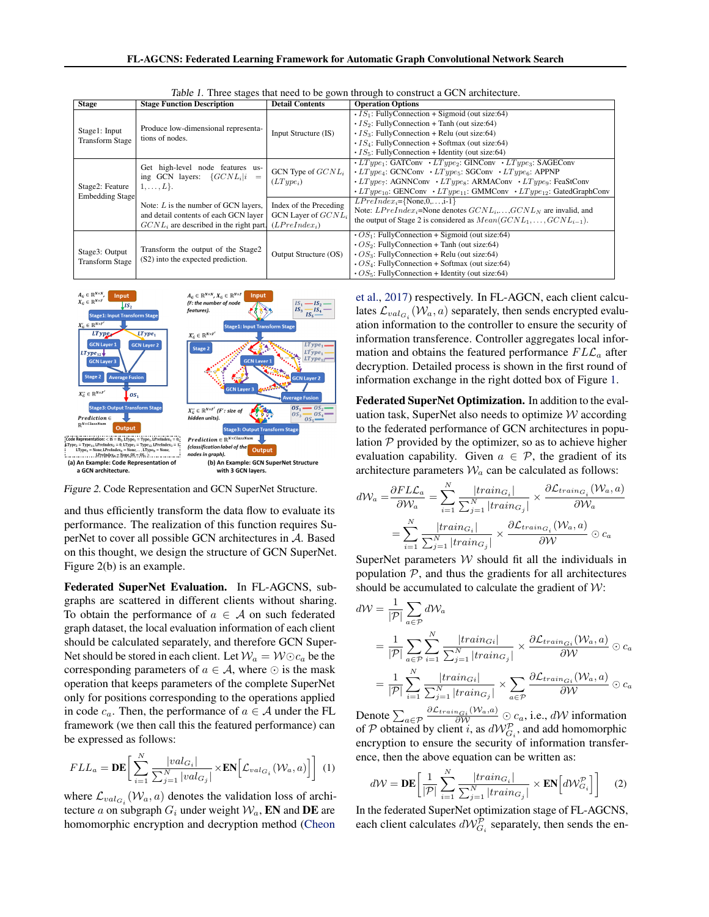<span id="page-3-0"></span>

| <b>Stage</b>                             | <b>Stage Function Description</b>                                                                                                | <b>Detail Contents</b>                                            | <b>Operation Options</b>                                                                                                                                                                                                                                                                                                                                                                                                                                                               |  |  |
|------------------------------------------|----------------------------------------------------------------------------------------------------------------------------------|-------------------------------------------------------------------|----------------------------------------------------------------------------------------------------------------------------------------------------------------------------------------------------------------------------------------------------------------------------------------------------------------------------------------------------------------------------------------------------------------------------------------------------------------------------------------|--|--|
| Stage1: Input<br><b>Transform Stage</b>  | Produce low-dimensional representa-<br>tions of nodes.                                                                           | Input Structure (IS)                                              | $\cdot$ IS <sub>1</sub> : FullyConnection + Sigmoid (out size:64)<br>$\cdot$ IS <sub>2</sub> : FullyConnection + Tanh (out size:64)<br>$\cdot$ IS <sub>3</sub> : FullyConnection + Relu (out size:64)<br>$\cdot$ IS <sub>4</sub> : FullyConnection + Softmax (out size:64)<br>$\cdot$ IS <sub>5</sub> : FullyConnection + Identity (out size:64)                                                                                                                                       |  |  |
| Stage2: Feature<br>Embedding Stage       | Get high-level node features us-<br>GCN Type of $GCNL_i$<br>ing GCN layers: $\{GCNL_i i\rangle$<br>$(LType_i)$<br>$1,\ldots,L$ . |                                                                   | $\cdot$ LT upe <sub>1</sub> : GATConv $\cdot$ LT upe <sub>2</sub> : GINConv $\cdot$ LT upe <sub>3</sub> : SAGEConv<br>$\cdot$ LType <sub>4</sub> : GCNConv $\cdot$ LType <sub>5</sub> : SGConv $\cdot$ LType <sub>6</sub> : APPNP<br>$\cdot$ LT <sub>upe7</sub> : AGNNConv $\cdot$ LT <sub>upe8</sub> : ARMAConv $\cdot$ LT <sub>upe9</sub> : FeaStConv<br>$\cdot LT_{{\cal UP}e_{10}}$ : GENConv $\cdot LT_{{\cal UP}e_{11}}$ : GMMConv $\cdot LT_{{\cal UP}e_{12}}$ : GatedGraphConv |  |  |
|                                          | Note: $L$ is the number of GCN layers,<br>and detail contents of each GCN layer<br>$GCNL_i$ are described in the right part.     | Index of the Preceding<br>GCN Layer of $GCNLi$<br>$(LPreIndex_i)$ | $LPreIndex_i = \{None, 0, \ldots, i-1\}$<br>Note: $LPreIndex_i$ =None denotes $GCNL_i$ ,, $GCNL_N$ are invalid, and<br>the output of Stage 2 is considered as $Mean(GCNL_1, \ldots, GCNL_{i-1}).$                                                                                                                                                                                                                                                                                      |  |  |
| Stage3: Output<br><b>Transform Stage</b> | Transform the output of the Stage2<br>(S2) into the expected prediction.                                                         | Output Structure (OS)                                             | $\cdot OS_1$ : FullyConnection + Sigmoid (out size:64)<br>$\cdot$ OS <sub>2</sub> : FullyConnection + Tanh (out size:64)<br>$\cdot$ OS <sub>3</sub> : FullyConnection + Relu (out size:64)<br>$\cdot$ OS <sub>4</sub> : FullyConnection + Softmax (out size:64)<br>$\cdot OS_5$ : FullyConnection + Identity (out size:64)                                                                                                                                                             |  |  |

Table 1. Three stages that need to be gown through to construct a GCN architecture.



Figure 2. Code Representation and GCN SuperNet Structure.

and thus efficiently transform the data flow to evaluate its performance. The realization of this function requires SuperNet to cover all possible GCN architectures in A. Based on this thought, we design the structure of GCN SuperNet. Figure 2(b) is an example.

Federated SuperNet Evaluation. In FL-AGCNS, subgraphs are scattered in different clients without sharing. To obtain the performance of  $a \in \mathcal{A}$  on such federated graph dataset, the local evaluation information of each client should be calculated separately, and therefore GCN Super-Net should be stored in each client. Let  $\mathcal{W}_a = \mathcal{W} \odot c_a$  be the corresponding parameters of  $a \in \mathcal{A}$ , where  $\odot$  is the mask operation that keeps parameters of the complete SuperNet only for positions corresponding to the operations applied in code  $c_a$ . Then, the performance of  $a \in A$  under the FL framework (we then call this the featured performance) can be expressed as follows:

$$
FLL_a = \mathbf{DE} \bigg[ \sum_{i=1}^{N} \frac{|val_{G_i}|}{\sum_{j=1}^{N} |val_{G_j}|} \times \mathbf{EN} \bigg[ \mathcal{L}_{val_{G_i}}(\mathcal{W}_a, a) \bigg] \bigg] \tag{1}
$$

where  $\mathcal{L}_{val_{G_i}}(\mathcal{W}_a, a)$  denotes the validation loss of architecture a on subgraph  $G_i$  under weight  $W_a$ , EN and DE are homomorphic encryption and decryption method [\(Cheon](#page-8-0)

[et al.,](#page-8-0) [2017\)](#page-8-0) respectively. In FL-AGCN, each client calculates  $\mathcal{L}_{val_{G_i}}(\mathcal{W}_a, a)$  separately, then sends encrypted evaluation information to the controller to ensure the security of information transference. Controller aggregates local information and obtains the featured performance  $FLL_a$  after decryption. Detailed process is shown in the first round of information exchange in the right dotted box of Figure [1.](#page-2-0)

Federated SuperNet Optimization. In addition to the evaluation task, SuperNet also needs to optimize  $W$  according to the federated performance of GCN architectures in population  $P$  provided by the optimizer, so as to achieve higher evaluation capability. Given  $a \in \mathcal{P}$ , the gradient of its architecture parameters  $W_a$  can be calculated as follows:

$$
d\mathcal{W}_a = \frac{\partial F L \mathcal{L}_a}{\partial \mathcal{W}_a} = \sum_{i=1}^N \frac{|train_{G_i}|}{\sum_{j=1}^N |train_{G_j}|} \times \frac{\partial \mathcal{L}_{train_{G_i}}(\mathcal{W}_a, a)}{\partial \mathcal{W}_a}
$$

$$
= \sum_{i=1}^N \frac{|train_{G_i}|}{\sum_{j=1}^N |train_{G_j}|} \times \frac{\partial \mathcal{L}_{train_{G_i}}(\mathcal{W}_a, a)}{\partial \mathcal{W}} \odot c_a
$$

SuperNet parameters  $W$  should fit all the individuals in population  $P$ , and thus the gradients for all architectures should be accumulated to calculate the gradient of  $W$ :

$$
dW = \frac{1}{|\mathcal{P}|} \sum_{a \in \mathcal{P}} dW_a
$$
  
= 
$$
\frac{1}{|\mathcal{P}|} \sum_{a \in \mathcal{P}} \sum_{i=1}^N \frac{|train_{Gi}|}{\sum_{j=1}^N |train_{Gi}|} \times \frac{\partial \mathcal{L}_{train_{Gi}}(W_a, a)}{\partial W} \odot c_a
$$
  
= 
$$
\frac{1}{|\mathcal{P}|} \sum_{i=1}^N \frac{|train_{Gi}|}{\sum_{j=1}^N |train_{Gi}|} \times \sum_{a \in \mathcal{P}} \frac{\partial \mathcal{L}_{train_{Gi}}(W_a, a)}{\partial W} \odot c_a
$$

Denote  $\sum_{a \in \mathcal{P}} \frac{\partial \mathcal{L}_{train_{Gi}}(W_a, a)}{\partial W} \odot c_a$ , i.e., dW information of P obtained by client i, as  $dW_{G_i}^p$ , and add homomorphic encryption to ensure the security of information transference, then the above equation can be written as:

$$
d\mathcal{W} = \mathbf{DE} \left[ \frac{1}{|\mathcal{P}|} \sum_{i=1}^{N} \frac{|train_{G_i}|}{\sum_{j=1}^{N} |train_{G_j}|} \times \mathbf{EN} \left[ d\mathcal{W}_{G_i}^{\mathcal{P}} \right] \right] \tag{2}
$$

In the federated SuperNet optimization stage of FL-AGCNS, each client calculates  $dW_{G_i}^{\mathcal{P}}$  separately, then sends the en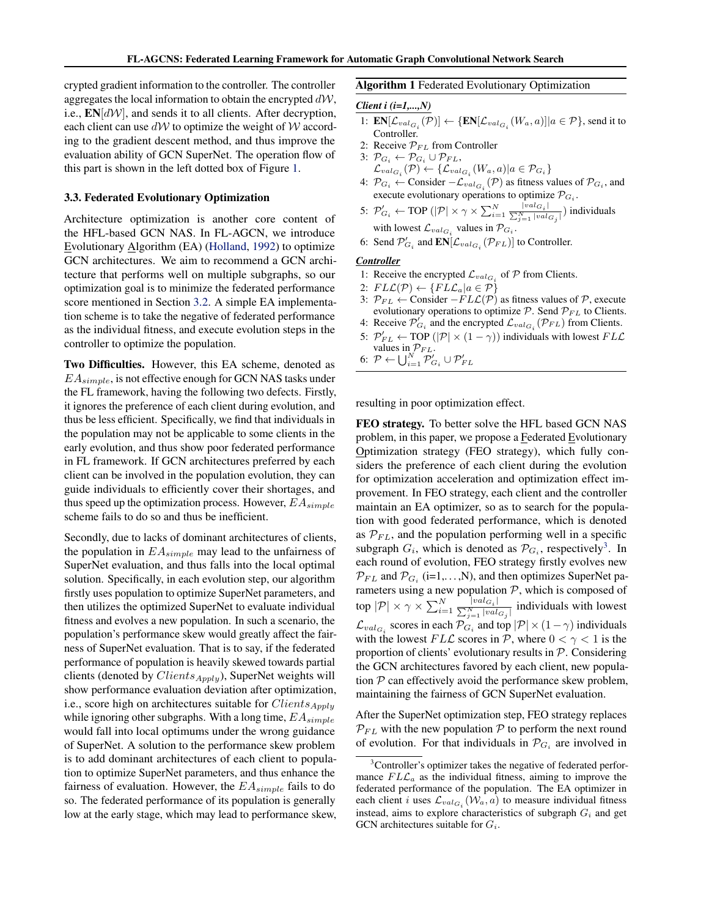<span id="page-4-0"></span>crypted gradient information to the controller. The controller aggregates the local information to obtain the encrypted  $dW$ , i.e.,  $EN[dW]$ , and sends it to all clients. After decryption, each client can use  $d\mathcal{W}$  to optimize the weight of  $\mathcal W$  according to the gradient descent method, and thus improve the evaluation ability of GCN SuperNet. The operation flow of this part is shown in the left dotted box of Figure [1.](#page-2-0)

#### 3.3. Federated Evolutionary Optimization

Architecture optimization is another core content of the HFL-based GCN NAS. In FL-AGCN, we introduce Evolutionary Algorithm (EA) [\(Holland,](#page-8-0) [1992\)](#page-8-0) to optimize GCN architectures. We aim to recommend a GCN architecture that performs well on multiple subgraphs, so our optimization goal is to minimize the federated performance score mentioned in Section [3.2.](#page-2-0) A simple EA implementation scheme is to take the negative of federated performance as the individual fitness, and execute evolution steps in the controller to optimize the population.

Two Difficulties. However, this EA scheme, denoted as  $EA_{simple}$ , is not effective enough for GCN NAS tasks under the FL framework, having the following two defects. Firstly, it ignores the preference of each client during evolution, and thus be less efficient. Specifically, we find that individuals in the population may not be applicable to some clients in the early evolution, and thus show poor federated performance in FL framework. If GCN architectures preferred by each client can be involved in the population evolution, they can guide individuals to efficiently cover their shortages, and thus speed up the optimization process. However,  $EA_{simple}$ scheme fails to do so and thus be inefficient.

Secondly, due to lacks of dominant architectures of clients, the population in  $EA_{simple}$  may lead to the unfairness of SuperNet evaluation, and thus falls into the local optimal solution. Specifically, in each evolution step, our algorithm firstly uses population to optimize SuperNet parameters, and then utilizes the optimized SuperNet to evaluate individual fitness and evolves a new population. In such a scenario, the population's performance skew would greatly affect the fairness of SuperNet evaluation. That is to say, if the federated performance of population is heavily skewed towards partial clients (denoted by  $Clients_{Apply}$ ), SuperNet weights will show performance evaluation deviation after optimization, i.e., score high on architectures suitable for  $Clients_{Apply}$ while ignoring other subgraphs. With a long time,  $EA_{simple}$ would fall into local optimums under the wrong guidance of SuperNet. A solution to the performance skew problem is to add dominant architectures of each client to population to optimize SuperNet parameters, and thus enhance the fairness of evaluation. However, the  $EA_{simple}$  fails to do so. The federated performance of its population is generally low at the early stage, which may lead to performance skew,

#### Algorithm 1 Federated Evolutionary Optimization

#### *Client i (i=1,...,N)*

- 1:  $\mathbf{EN}[\mathcal{L}_{val_{G_i}}(\mathcal{P})] \leftarrow {\{\mathbf{EN}[\mathcal{L}_{val_{G_i}}(W_a, a)] | a \in \mathcal{P}\}, \text{ send it to}$ Controller.
- 2: Receive  $\mathcal{P}_{FL}$  from Controller
- 3:  $\mathcal{P}_{G_i} \leftarrow \mathcal{P}_{G_i} \cup \mathcal{P}_{FL},$  $\mathcal{L}_{val_{G_i}}(\mathcal{P}) \leftarrow \{\mathcal{L}_{val_{G_i}}(W_a, a) | a \in \mathcal{P}_{G_i}\}\$
- 4:  $\mathcal{P}_{G_i}$  ← Consider  $-\mathcal{L}_{val_{G_i}}(\mathcal{P})$  as fitness values of  $\mathcal{P}_{G_i}$ , and execute evolutionary operations to optimize  $\mathcal{P}_{G_i}$ .
- 5:  $\mathcal{P}'_{G_i} \leftarrow \text{TOP } (|\mathcal{P}| \times \gamma \times \sum_{i=1}^N \frac{|val_{G_i}|}{\sum_{i=1}^N |val_{G_i}|})$  $\frac{\sum_{j=1}^{|\nabla u(G_i)|} \sum_{j=1}^{N} |\nabla u(G_j)|}$  individuals with lowest  $\mathcal{L}_{val_{G_i}}$  values in  $\mathcal{P}_{G_i}$ .
- 6: Send  $\mathcal{P}'_{G_i}$  and  $\mathbf{EN}[\mathcal{L}_{val_{G_i}}(\mathcal{P}_{FL})]$  to Controller.

#### *Controller*

- 1: Receive the encrypted  $\mathcal{L}_{val_{G_i}}$  of  $\mathcal P$  from Clients.
- 2:  $FLL(\mathcal{P}) \leftarrow \{FLL_a | a \in \mathcal{P}\}\$
- 3:  $\mathcal{P}_{FL}$  ← Consider  $-FLL(\mathcal{P})$  as fitness values of  $\mathcal{P}$ , execute evolutionary operations to optimize  $P$ . Send  $P_{FL}$  to Clients.
- 4: Receive  $\mathcal{P}'_{G_i}$  and the encrypted  $\mathcal{L}_{val_{G_i}}(\mathcal{P}_{FL})$  from Clients. 5:  $\mathcal{P}_{FL}^{\prime} \leftarrow \text{TOP } (|\mathcal{P}| \times (1 - \gamma))$  individuals with lowest  $FL\mathcal{L}$
- values in  $\mathcal{P}_{FL}$ .
- 6:  $\mathcal{P} \leftarrow \bigcup_{i=1}^{N} \mathcal{P}'_{G_i} \cup \mathcal{P}'_{FL}$

resulting in poor optimization effect.

FEO strategy. To better solve the HFL based GCN NAS problem, in this paper, we propose a Federated Evolutionary Optimization strategy (FEO strategy), which fully considers the preference of each client during the evolution for optimization acceleration and optimization effect improvement. In FEO strategy, each client and the controller maintain an EA optimizer, so as to search for the population with good federated performance, which is denoted as  $\mathcal{P}_{FL}$ , and the population performing well in a specific subgraph  $G_i$ , which is denoted as  $\mathcal{P}_{G_i}$ , respectively<sup>3</sup>. In each round of evolution, FEO strategy firstly evolves new  $\mathcal{P}_{FL}$  and  $\mathcal{P}_{G_i}$  (i=1,...,N), and then optimizes SuperNet parameters using a new population  $P$ , which is composed of top  $|\mathcal{P}| \times \gamma \times \sum_{i=1}^N \frac{|val_{G_i}|}{\sum_{i=1}^N |val_i|}$  $\frac{|val_{i}|}{\sum_{j=1}^{N}|val_{G_j}|}$  individuals with lowest  $\mathcal{L}_{val_{G_i}}$  scores in each  $\mathcal{P}_{G_i}$  and top  $|\mathcal{P}| \times (1-\gamma)$  individuals with the lowest  $FL\mathcal{L}$  scores in  $\mathcal{P}$ , where  $0 < \gamma < 1$  is the proportion of clients' evolutionary results in  $P$ . Considering the GCN architectures favored by each client, new population  $P$  can effectively avoid the performance skew problem, maintaining the fairness of GCN SuperNet evaluation.

After the SuperNet optimization step, FEO strategy replaces  $P_{FL}$  with the new population P to perform the next round of evolution. For that individuals in  $\mathcal{P}_{G_i}$  are involved in

 $3$ Controller's optimizer takes the negative of federated performance  $FLL_a$  as the individual fitness, aiming to improve the federated performance of the population. The EA optimizer in each client *i* uses  $\mathcal{L}_{val_{G_i}}(\mathcal{W}_a, a)$  to measure individual fitness instead, aims to explore characteristics of subgraph  $G_i$  and get GCN architectures suitable for  $G_i$ .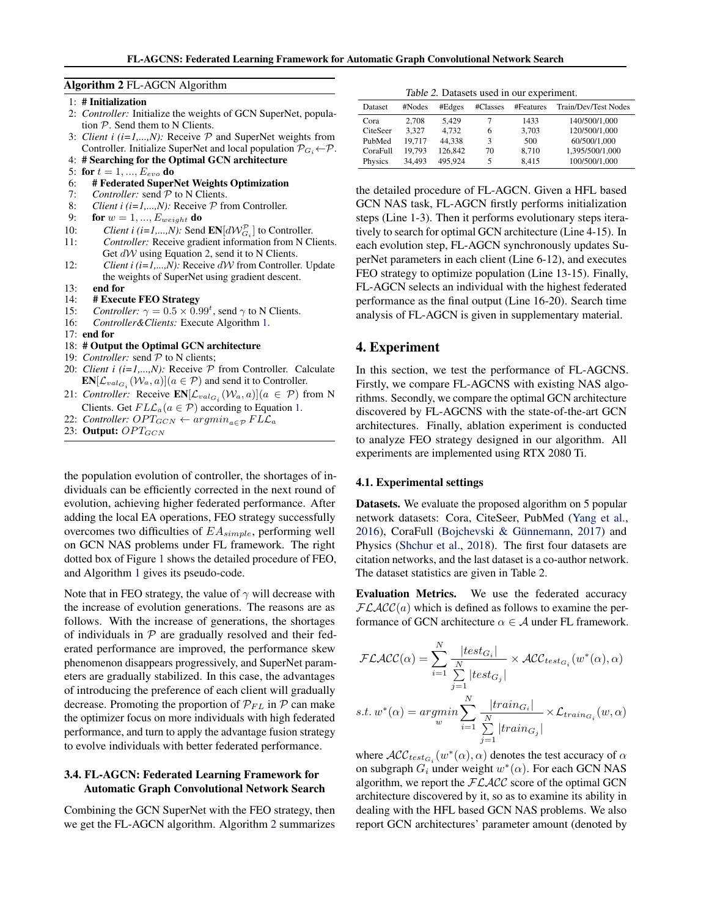#### Algorithm 2 FL-AGCN Algorithm

1: # Initialization

- 2: *Controller:* Initialize the weights of GCN SuperNet, population  $P$ . Send them to N Clients.
- 3: *Client i (i=1,...,N)*: Receive  $P$  and SuperNet weights from Controller. Initialize SuperNet and local population  $\mathcal{P}_{G_i} \leftarrow \mathcal{P}$ .
- 4: # Searching for the Optimal GCN architecture
- 5: for  $t = 1, ..., E_{evo}$  do
- 6: # Federated SuperNet Weights Optimization
- 7: *Controller:* send  $\mathcal P$  to N Clients.
- 8: *Client i (i=1,...,N)*: Receive  $P$  from Controller.
- 9: **for**  $w = 1, ..., E_{weight}$  **do**
- 10: *Client i (i=1,...,N)*: Send  $\text{EN}[d\mathcal{W}_{G_i}^{\mathcal{P}}]$  to Controller.
- 11: *Controller:* Receive gradient information from N Clients. Get  $dW$  using Equation [2,](#page-3-0) send it to N Clients.
- 12: *Client i (i=1,...,N)*: Receive dW from Controller. Update the weights of SuperNet using gradient descent.
- 13: end for
- 14: # **Execute FEO Strategy**<br>15: *Controller:*  $\gamma = 0.5 \times 0.9$
- 15: *Controller:*  $\gamma = 0.5 \times 0.99^t$ , send  $\gamma$  to N Clients.
- 16: *Controller&Clients:* Execute Algorithm [1.](#page-4-0)
- 17: end for
- 18: # Output the Optimal GCN architecture
- 19: *Controller:* send  $P$  to N clients;
- 20: *Client i (i=1,...,N)*: Receive  $P$  from Controller. Calculate  $\mathbf{EN}[\mathcal{L}_{val_{G_i}}(\mathcal{W}_a, a)](a \in \mathcal{P})$  and send it to Controller.
- 21: *Controller:* Receive  $\mathbb{E} N[\mathcal{L}_{val_{G_i}}(W_a, a)](a \in \mathcal{P})$  from N Clients. Get  $FLL_a(a \in \mathcal{P})$  according to Equation [1.](#page-3-0)
- 22: *Controller:*  $OPT_{GCN} \leftarrow argmin_{a \in \mathcal{P}} FL\mathcal{L}_a$
- 23: Output:  $OPT_{GCN}$

the population evolution of controller, the shortages of individuals can be efficiently corrected in the next round of evolution, achieving higher federated performance. After adding the local EA operations, FEO strategy successfully overcomes two difficulties of  $EA_{simple}$ , performing well on GCN NAS problems under FL framework. The right dotted box of Figure [1](#page-2-0) shows the detailed procedure of FEO, and Algorithm [1](#page-4-0) gives its pseudo-code.

Note that in FEO strategy, the value of  $\gamma$  will decrease with the increase of evolution generations. The reasons are as follows. With the increase of generations, the shortages of individuals in  $P$  are gradually resolved and their federated performance are improved, the performance skew phenomenon disappears progressively, and SuperNet parameters are gradually stabilized. In this case, the advantages of introducing the preference of each client will gradually decrease. Promoting the proportion of  $\mathcal{P}_{FL}$  in  $\mathcal P$  can make the optimizer focus on more individuals with high federated performance, and turn to apply the advantage fusion strategy to evolve individuals with better federated performance.

# 3.4. FL-AGCN: Federated Learning Framework for Automatic Graph Convolutional Network Search

Combining the GCN SuperNet with the FEO strategy, then we get the FL-AGCN algorithm. Algorithm 2 summarizes

Table 2. Datasets used in our experiment.

| Dataset  | #Nodes | #Edges  | #Classes | #Features | Train/Dev/Test Nodes |  |  |  |
|----------|--------|---------|----------|-----------|----------------------|--|--|--|
| Cora     | 2.708  | 5.429   |          | 1433      | 140/500/1,000        |  |  |  |
| CiteSeer | 3.327  | 4.732   | 6        | 3.703     | 120/500/1.000        |  |  |  |
| PubMed   | 19.717 | 44.338  | 3        | 500       | 60/500/1.000         |  |  |  |
| CoraFull | 19.793 | 126,842 | 70       | 8.710     | 1,395/500/1,000      |  |  |  |
| Physics  | 34.493 | 495.924 | 5        | 8.415     | 100/500/1.000        |  |  |  |

the detailed procedure of FL-AGCN. Given a HFL based GCN NAS task, FL-AGCN firstly performs initialization steps (Line 1-3). Then it performs evolutionary steps iteratively to search for optimal GCN architecture (Line 4-15). In each evolution step, FL-AGCN synchronously updates SuperNet parameters in each client (Line 6-12), and executes FEO strategy to optimize population (Line 13-15). Finally, FL-AGCN selects an individual with the highest federated performance as the final output (Line 16-20). Search time analysis of FL-AGCN is given in supplementary material.

## 4. Experiment

In this section, we test the performance of FL-AGCNS. Firstly, we compare FL-AGCNS with existing NAS algorithms. Secondly, we compare the optimal GCN architecture discovered by FL-AGCNS with the state-of-the-art GCN architectures. Finally, ablation experiment is conducted to analyze FEO strategy designed in our algorithm. All experiments are implemented using RTX 2080 Ti.

## 4.1. Experimental settings

Datasets. We evaluate the proposed algorithm on 5 popular network datasets: Cora, CiteSeer, PubMed [\(Yang et al.,](#page-9-0) [2016\)](#page-9-0), CoraFull (Bojchevski & Günnemann, [2017\)](#page-8-0) and Physics [\(Shchur et al.,](#page-8-0) [2018\)](#page-8-0). The first four datasets are citation networks, and the last dataset is a co-author network. The dataset statistics are given in Table 2.

Evaluation Metrics. We use the federated accuracy  $FLACC(a)$  which is defined as follows to examine the performance of GCN architecture  $\alpha \in A$  under FL framework.

$$
\mathcal{FLACC}(\alpha) = \sum_{i=1}^{N} \frac{|test_{G_i}|}{\sum_{j=1}^{N} |test_{G_j}|} \times \mathcal{ACC}_{test_{G_i}}(w^*(\alpha), \alpha)
$$
  
s.t.  $w^*(\alpha) = \underset{w}{\operatorname{argmin}} \sum_{i=1}^{N} \frac{|train_{G_i}|}{\sum_{i} |train_{G_j}|} \times \mathcal{L}_{triangle_i}(w, \alpha)$ 

where  $\mathcal{ACC}_{test_{G_i}}(w^*(\alpha), \alpha)$  denotes the test accuracy of  $\alpha$ on subgraph  $G_i$  under weight  $w^*(\alpha)$ . For each GCN NAS algorithm, we report the  $FLACC$  score of the optimal GCN architecture discovered by it, so as to examine its ability in dealing with the HFL based GCN NAS problems. We also report GCN architectures' parameter amount (denoted by

 $j=1$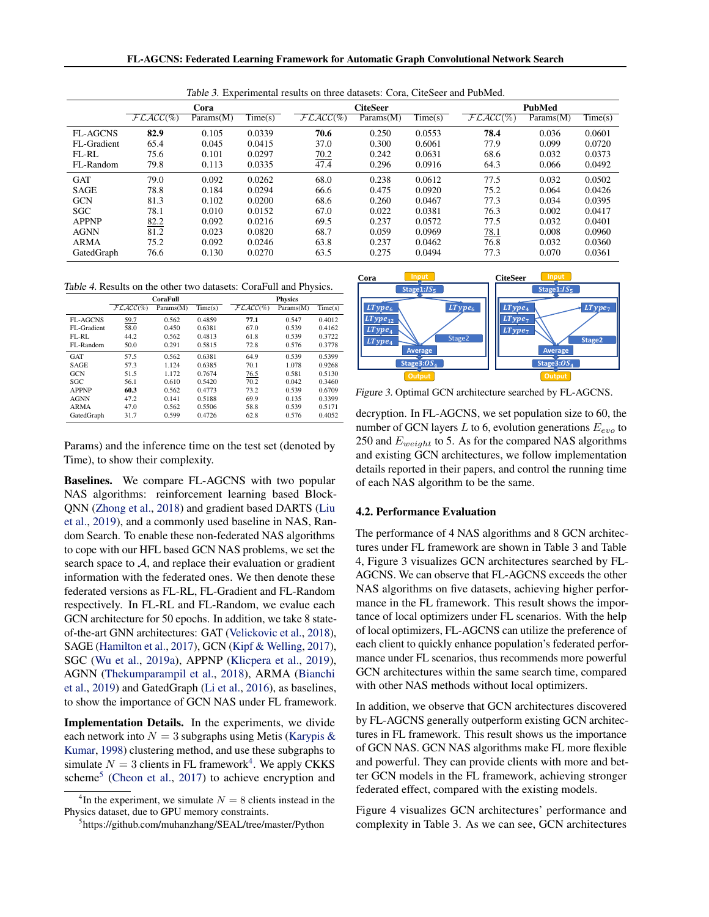FL-AGCNS: Federated Learning Framework for Automatic Graph Convolutional Network Search

|                 | Cora         |           |                             |              | <b>CiteSeer</b> |                             |             | <b>PubMed</b> |         |  |
|-----------------|--------------|-----------|-----------------------------|--------------|-----------------|-----------------------------|-------------|---------------|---------|--|
|                 | $FLACC(\% )$ | Params(M) | $\overline{\text{Time}}(s)$ | $FLACC(\% )$ | Params(M)       | $\overline{\text{Time}}(s)$ | $FLACC(\%)$ | Params(M)     | Time(s) |  |
| <b>FL-AGCNS</b> | 82.9         | 0.105     | 0.0339                      | 70.6         | 0.250           | 0.0553                      | 78.4        | 0.036         | 0.0601  |  |
| FL-Gradient     | 65.4         | 0.045     | 0.0415                      | 37.0         | 0.300           | 0.6061                      | 77.9        | 0.099         | 0.0720  |  |
| FL-RL           | 75.6         | 0.101     | 0.0297                      | 70.2         | 0.242           | 0.0631                      | 68.6        | 0.032         | 0.0373  |  |
| FL-Random       | 79.8         | 0.113     | 0.0335                      | 47.4         | 0.296           | 0.0916                      | 64.3        | 0.066         | 0.0492  |  |
| <b>GAT</b>      | 79.0         | 0.092     | 0.0262                      | 68.0         | 0.238           | 0.0612                      | 77.5        | 0.032         | 0.0502  |  |
| <b>SAGE</b>     | 78.8         | 0.184     | 0.0294                      | 66.6         | 0.475           | 0.0920                      | 75.2        | 0.064         | 0.0426  |  |
| <b>GCN</b>      | 81.3         | 0.102     | 0.0200                      | 68.6         | 0.260           | 0.0467                      | 77.3        | 0.034         | 0.0395  |  |
| <b>SGC</b>      | 78.1         | 0.010     | 0.0152                      | 67.0         | 0.022           | 0.0381                      | 76.3        | 0.002         | 0.0417  |  |
| <b>APPNP</b>    | 82.2         | 0.092     | 0.0216                      | 69.5         | 0.237           | 0.0572                      | 77.5        | 0.032         | 0.0401  |  |
| <b>AGNN</b>     | 81.2         | 0.023     | 0.0820                      | 68.7         | 0.059           | 0.0969                      | 78.1        | 0.008         | 0.0960  |  |
| <b>ARMA</b>     | 75.2         | 0.092     | 0.0246                      | 63.8         | 0.237           | 0.0462                      | 76.8        | 0.032         | 0.0360  |  |
| GatedGraph      | 76.6         | 0.130     | 0.0270                      | 63.5         | 0.275           | 0.0494                      | 77.3        | 0.070         | 0.0361  |  |

Table 3. Experimental results on three datasets: Cora, CiteSeer and PubMed.

Table 4. Results on the other two datasets: CoraFull and Physics.

|                 | CoraFull    |           |         | <b>Physics</b> |           |         |  |
|-----------------|-------------|-----------|---------|----------------|-----------|---------|--|
|                 | $FLACC(\%)$ | Params(M) | Time(s) | $F LACC(\%)$   | Params(M) | Time(s) |  |
| <b>FL-AGCNS</b> | 59.7        | 0.562     | 0.4859  | 77.1           | 0.547     | 0.4012  |  |
| FL-Gradient     | 58.0        | 0.450     | 0.6381  | 67.0           | 0.539     | 0.4162  |  |
| FL-RL           | 44.2        | 0.562     | 0.4813  | 61.8           | 0.539     | 0.3722  |  |
| FL-Random       | 50.0        | 0.291     | 0.5815  | 72.8           | 0.576     | 0.3778  |  |
| GAT             | 57.5        | 0.562     | 0.6381  | 64.9           | 0.539     | 0.5399  |  |
| <b>SAGE</b>     | 57.3        | 1.124     | 0.6385  | 70.1           | 1.078     | 0.9268  |  |
| <b>GCN</b>      | 51.5        | 1.172     | 0.7674  | 76.5           | 0.581     | 0.5130  |  |
| SGC             | 56.1        | 0.610     | 0.5420  | 70.2           | 0.042     | 0.3460  |  |
| <b>APPNP</b>    | 60.3        | 0.562     | 0.4773  | 73.2           | 0.539     | 0.6709  |  |
| <b>AGNN</b>     | 47.2        | 0.141     | 0.5188  | 69.9           | 0.135     | 0.3399  |  |
| <b>ARMA</b>     | 47.0        | 0.562     | 0.5506  | 58.8           | 0.539     | 0.5171  |  |
| GatedGraph      | 31.7        | 0.599     | 0.4726  | 62.8           | 0.576     | 0.4052  |  |

Params) and the inference time on the test set (denoted by Time), to show their complexity.

Baselines. We compare FL-AGCNS with two popular NAS algorithms: reinforcement learning based Block-QNN [\(Zhong et al.,](#page-9-0) [2018\)](#page-9-0) and gradient based DARTS [\(Liu](#page-8-0) [et al.,](#page-8-0) [2019\)](#page-8-0), and a commonly used baseline in NAS, Random Search. To enable these non-federated NAS algorithms to cope with our HFL based GCN NAS problems, we set the search space to  $A$ , and replace their evaluation or gradient information with the federated ones. We then denote these federated versions as FL-RL, FL-Gradient and FL-Random respectively. In FL-RL and FL-Random, we evalue each GCN architecture for 50 epochs. In addition, we take 8 stateof-the-art GNN architectures: GAT [\(Velickovic et al.,](#page-8-0) [2018\)](#page-8-0), SAGE [\(Hamilton et al.,](#page-8-0) [2017\)](#page-8-0), GCN [\(Kipf & Welling,](#page-8-0) [2017\)](#page-8-0), SGC [\(Wu et al.,](#page-8-0) [2019a\)](#page-8-0), APPNP [\(Klicpera et al.,](#page-8-0) [2019\)](#page-8-0), AGNN [\(Thekumparampil et al.,](#page-8-0) [2018\)](#page-8-0), ARMA [\(Bianchi](#page-8-0) [et al.,](#page-8-0) [2019\)](#page-8-0) and GatedGraph [\(Li et al.,](#page-8-0) [2016\)](#page-8-0), as baselines, to show the importance of GCN NAS under FL framework.

Implementation Details. In the experiments, we divide each network into  $N = 3$  subgraphs using Metis [\(Karypis &](#page-8-0) [Kumar,](#page-8-0) [1998\)](#page-8-0) clustering method, and use these subgraphs to simulate  $N = 3$  clients in FL framework<sup>4</sup>. We apply CKKS scheme<sup>5</sup> [\(Cheon et al.,](#page-8-0) [2017\)](#page-8-0) to achieve encryption and



Figure 3. Optimal GCN architecture searched by FL-AGCNS.

decryption. In FL-AGCNS, we set population size to 60, the number of GCN layers L to 6, evolution generations  $E_{evo}$  to 250 and  $E_{weight}$  to 5. As for the compared NAS algorithms and existing GCN architectures, we follow implementation details reported in their papers, and control the running time of each NAS algorithm to be the same.

#### 4.2. Performance Evaluation

The performance of 4 NAS algorithms and 8 GCN architectures under FL framework are shown in Table 3 and Table 4, Figure 3 visualizes GCN architectures searched by FL-AGCNS. We can observe that FL-AGCNS exceeds the other NAS algorithms on five datasets, achieving higher performance in the FL framework. This result shows the importance of local optimizers under FL scenarios. With the help of local optimizers, FL-AGCNS can utilize the preference of each client to quickly enhance population's federated performance under FL scenarios, thus recommends more powerful GCN architectures within the same search time, compared with other NAS methods without local optimizers.

In addition, we observe that GCN architectures discovered by FL-AGCNS generally outperform existing GCN architectures in FL framework. This result shows us the importance of GCN NAS. GCN NAS algorithms make FL more flexible and powerful. They can provide clients with more and better GCN models in the FL framework, achieving stronger federated effect, compared with the existing models.

Figure 4 visualizes GCN architectures' performance and complexity in Table 3. As we can see, GCN architectures

<sup>&</sup>lt;sup>4</sup>In the experiment, we simulate  $N = 8$  clients instead in the Physics dataset, due to GPU memory constraints.

<sup>5</sup> https://github.com/muhanzhang/SEAL/tree/master/Python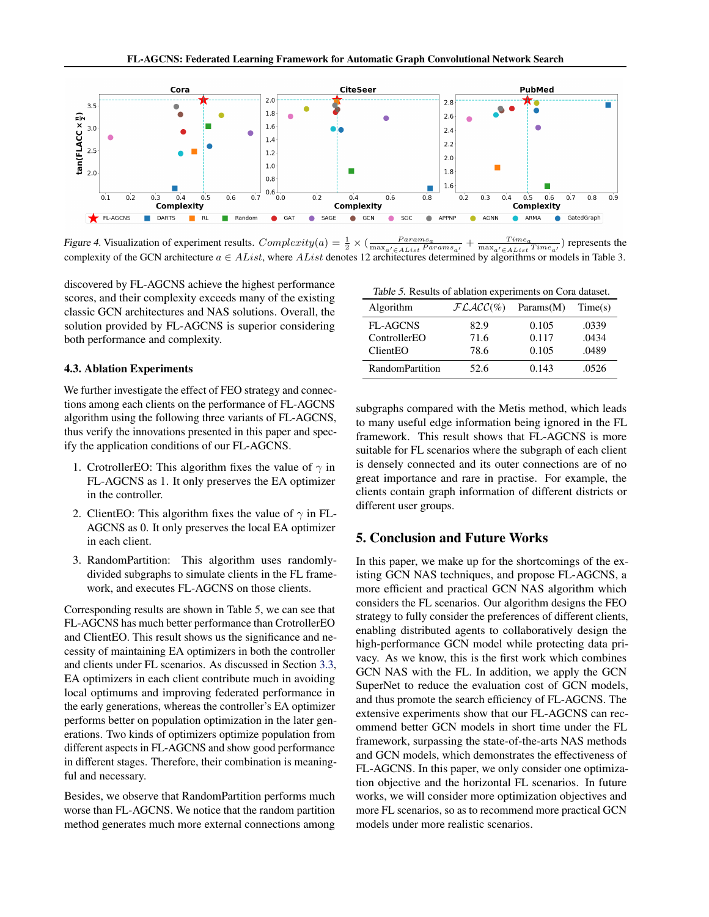

Figure 4. Visualization of experiment results.  $Complexity(a) = \frac{1}{2} \times (\frac{Paramsa}{max_{a' \in AList} Paramsa}$ +  $\frac{Time_a}{\max_{a' \in AList} Time_{a'}}$ ) represents the complexity of the GCN architecture  $a \in AList$ , where  $AList$  denotes 12 architectures determined by algorithms or models in Table 3.

discovered by FL-AGCNS achieve the highest performance scores, and their complexity exceeds many of the existing classic GCN architectures and NAS solutions. Overall, the solution provided by FL-AGCNS is superior considering both performance and complexity.

## 4.3. Ablation Experiments

We further investigate the effect of FEO strategy and connections among each clients on the performance of FL-AGCNS algorithm using the following three variants of FL-AGCNS, thus verify the innovations presented in this paper and specify the application conditions of our FL-AGCNS.

- 1. CrotrollerEO: This algorithm fixes the value of  $\gamma$  in FL-AGCNS as 1. It only preserves the EA optimizer in the controller.
- 2. ClientEO: This algorithm fixes the value of  $\gamma$  in FL-AGCNS as 0. It only preserves the local EA optimizer in each client.
- 3. RandomPartition: This algorithm uses randomlydivided subgraphs to simulate clients in the FL framework, and executes FL-AGCNS on those clients.

Corresponding results are shown in Table 5, we can see that FL-AGCNS has much better performance than CrotrollerEO and ClientEO. This result shows us the significance and necessity of maintaining EA optimizers in both the controller and clients under FL scenarios. As discussed in Section [3.3,](#page-4-0) EA optimizers in each client contribute much in avoiding local optimums and improving federated performance in the early generations, whereas the controller's EA optimizer performs better on population optimization in the later generations. Two kinds of optimizers optimize population from different aspects in FL-AGCNS and show good performance in different stages. Therefore, their combination is meaningful and necessary.

Besides, we observe that RandomPartition performs much worse than FL-AGCNS. We notice that the random partition method generates much more external connections among

| Algorithm              | $FLACC(\%)$ | Params(M) | Time(s) |
|------------------------|-------------|-----------|---------|
| <b>FL-AGCNS</b>        | 82.9        | 0.105     | .0339   |
| ControllerEO           | 71.6        | 0.117     | .0434   |
| ClientEO               | 78.6        | 0.105     | .0489   |
| <b>RandomPartition</b> | 52.6        | 0.143     | .0526   |

subgraphs compared with the Metis method, which leads to many useful edge information being ignored in the FL framework. This result shows that FL-AGCNS is more suitable for FL scenarios where the subgraph of each client is densely connected and its outer connections are of no great importance and rare in practise. For example, the clients contain graph information of different districts or different user groups.

# 5. Conclusion and Future Works

In this paper, we make up for the shortcomings of the existing GCN NAS techniques, and propose FL-AGCNS, a more efficient and practical GCN NAS algorithm which considers the FL scenarios. Our algorithm designs the FEO strategy to fully consider the preferences of different clients, enabling distributed agents to collaboratively design the high-performance GCN model while protecting data privacy. As we know, this is the first work which combines GCN NAS with the FL. In addition, we apply the GCN SuperNet to reduce the evaluation cost of GCN models, and thus promote the search efficiency of FL-AGCNS. The extensive experiments show that our FL-AGCNS can recommend better GCN models in short time under the FL framework, surpassing the state-of-the-arts NAS methods and GCN models, which demonstrates the effectiveness of FL-AGCNS. In this paper, we only consider one optimization objective and the horizontal FL scenarios. In future works, we will consider more optimization objectives and more FL scenarios, so as to recommend more practical GCN models under more realistic scenarios.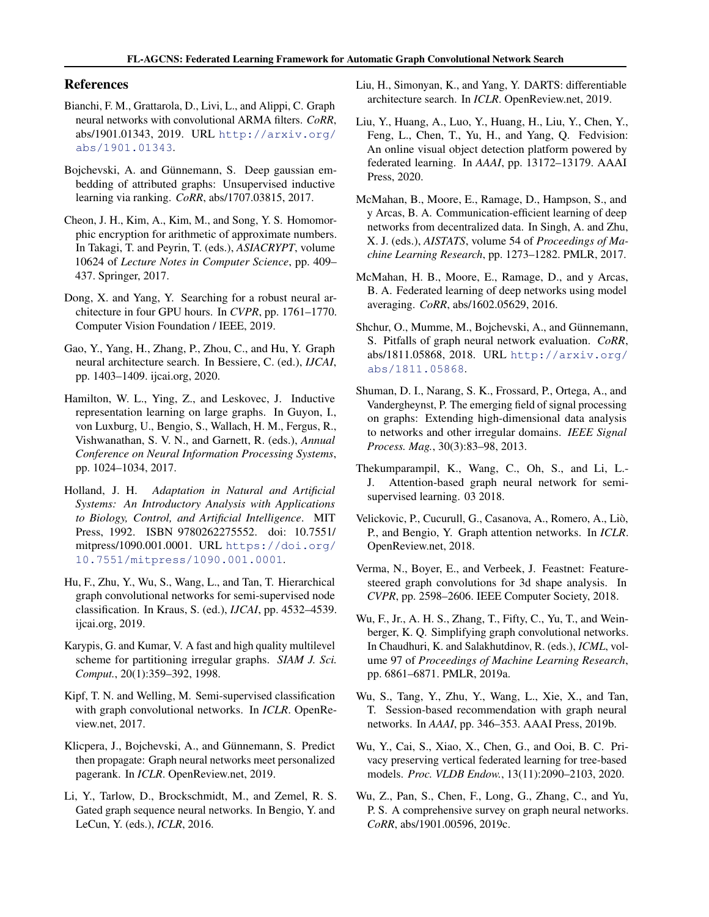# <span id="page-8-0"></span>References

- Bianchi, F. M., Grattarola, D., Livi, L., and Alippi, C. Graph neural networks with convolutional ARMA filters. *CoRR*, abs/1901.01343, 2019. URL [http://arxiv.org/](http://arxiv.org/abs/1901.01343) [abs/1901.01343](http://arxiv.org/abs/1901.01343).
- Bojchevski, A. and Günnemann, S. Deep gaussian embedding of attributed graphs: Unsupervised inductive learning via ranking. *CoRR*, abs/1707.03815, 2017.
- Cheon, J. H., Kim, A., Kim, M., and Song, Y. S. Homomorphic encryption for arithmetic of approximate numbers. In Takagi, T. and Peyrin, T. (eds.), *ASIACRYPT*, volume 10624 of *Lecture Notes in Computer Science*, pp. 409– 437. Springer, 2017.
- Dong, X. and Yang, Y. Searching for a robust neural architecture in four GPU hours. In *CVPR*, pp. 1761–1770. Computer Vision Foundation / IEEE, 2019.
- Gao, Y., Yang, H., Zhang, P., Zhou, C., and Hu, Y. Graph neural architecture search. In Bessiere, C. (ed.), *IJCAI*, pp. 1403–1409. ijcai.org, 2020.
- Hamilton, W. L., Ying, Z., and Leskovec, J. Inductive representation learning on large graphs. In Guyon, I., von Luxburg, U., Bengio, S., Wallach, H. M., Fergus, R., Vishwanathan, S. V. N., and Garnett, R. (eds.), *Annual Conference on Neural Information Processing Systems*, pp. 1024–1034, 2017.
- Holland, J. H. *Adaptation in Natural and Artificial Systems: An Introductory Analysis with Applications to Biology, Control, and Artificial Intelligence*. MIT Press, 1992. ISBN 9780262275552. doi: 10.7551/ mitpress/1090.001.0001. URL [https://doi.org/](https://doi.org/10.7551/mitpress/1090.001.0001) [10.7551/mitpress/1090.001.0001](https://doi.org/10.7551/mitpress/1090.001.0001).
- Hu, F., Zhu, Y., Wu, S., Wang, L., and Tan, T. Hierarchical graph convolutional networks for semi-supervised node classification. In Kraus, S. (ed.), *IJCAI*, pp. 4532–4539. ijcai.org, 2019.
- Karypis, G. and Kumar, V. A fast and high quality multilevel scheme for partitioning irregular graphs. *SIAM J. Sci. Comput.*, 20(1):359–392, 1998.
- Kipf, T. N. and Welling, M. Semi-supervised classification with graph convolutional networks. In *ICLR*. OpenReview.net, 2017.
- Klicpera, J., Bojchevski, A., and Günnemann, S. Predict then propagate: Graph neural networks meet personalized pagerank. In *ICLR*. OpenReview.net, 2019.
- Li, Y., Tarlow, D., Brockschmidt, M., and Zemel, R. S. Gated graph sequence neural networks. In Bengio, Y. and LeCun, Y. (eds.), *ICLR*, 2016.
- Liu, H., Simonyan, K., and Yang, Y. DARTS: differentiable architecture search. In *ICLR*. OpenReview.net, 2019.
- Liu, Y., Huang, A., Luo, Y., Huang, H., Liu, Y., Chen, Y., Feng, L., Chen, T., Yu, H., and Yang, Q. Fedvision: An online visual object detection platform powered by federated learning. In *AAAI*, pp. 13172–13179. AAAI Press, 2020.
- McMahan, B., Moore, E., Ramage, D., Hampson, S., and y Arcas, B. A. Communication-efficient learning of deep networks from decentralized data. In Singh, A. and Zhu, X. J. (eds.), *AISTATS*, volume 54 of *Proceedings of Machine Learning Research*, pp. 1273–1282. PMLR, 2017.
- McMahan, H. B., Moore, E., Ramage, D., and y Arcas, B. A. Federated learning of deep networks using model averaging. *CoRR*, abs/1602.05629, 2016.
- Shchur, O., Mumme, M., Bojchevski, A., and Günnemann, S. Pitfalls of graph neural network evaluation. *CoRR*, abs/1811.05868, 2018. URL [http://arxiv.org/](http://arxiv.org/abs/1811.05868) [abs/1811.05868](http://arxiv.org/abs/1811.05868).
- Shuman, D. I., Narang, S. K., Frossard, P., Ortega, A., and Vandergheynst, P. The emerging field of signal processing on graphs: Extending high-dimensional data analysis to networks and other irregular domains. *IEEE Signal Process. Mag.*, 30(3):83–98, 2013.
- Thekumparampil, K., Wang, C., Oh, S., and Li, L.- J. Attention-based graph neural network for semisupervised learning. 03 2018.
- Velickovic, P., Cucurull, G., Casanova, A., Romero, A., Lio,` P., and Bengio, Y. Graph attention networks. In *ICLR*. OpenReview.net, 2018.
- Verma, N., Boyer, E., and Verbeek, J. Feastnet: Featuresteered graph convolutions for 3d shape analysis. In *CVPR*, pp. 2598–2606. IEEE Computer Society, 2018.
- Wu, F., Jr., A. H. S., Zhang, T., Fifty, C., Yu, T., and Weinberger, K. Q. Simplifying graph convolutional networks. In Chaudhuri, K. and Salakhutdinov, R. (eds.), *ICML*, volume 97 of *Proceedings of Machine Learning Research*, pp. 6861–6871. PMLR, 2019a.
- Wu, S., Tang, Y., Zhu, Y., Wang, L., Xie, X., and Tan, T. Session-based recommendation with graph neural networks. In *AAAI*, pp. 346–353. AAAI Press, 2019b.
- Wu, Y., Cai, S., Xiao, X., Chen, G., and Ooi, B. C. Privacy preserving vertical federated learning for tree-based models. *Proc. VLDB Endow.*, 13(11):2090–2103, 2020.
- Wu, Z., Pan, S., Chen, F., Long, G., Zhang, C., and Yu, P. S. A comprehensive survey on graph neural networks. *CoRR*, abs/1901.00596, 2019c.